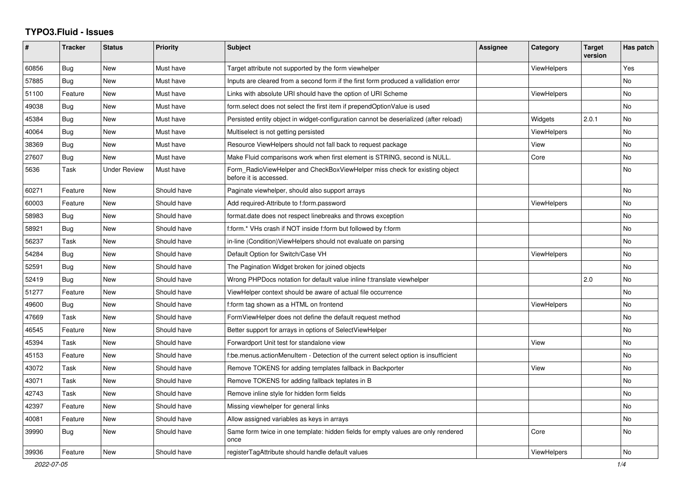## **TYPO3.Fluid - Issues**

| #     | <b>Tracker</b> | <b>Status</b>       | <b>Priority</b> | <b>Subject</b>                                                                                       | Assignee | Category           | <b>Target</b><br>version | Has patch |
|-------|----------------|---------------------|-----------------|------------------------------------------------------------------------------------------------------|----------|--------------------|--------------------------|-----------|
| 60856 | <b>Bug</b>     | New                 | Must have       | Target attribute not supported by the form viewhelper                                                |          | <b>ViewHelpers</b> |                          | Yes       |
| 57885 | Bug            | New                 | Must have       | Inputs are cleared from a second form if the first form produced a vallidation error                 |          |                    |                          | <b>No</b> |
| 51100 | Feature        | New                 | Must have       | Links with absolute URI should have the option of URI Scheme                                         |          | <b>ViewHelpers</b> |                          | No        |
| 49038 | Bug            | New                 | Must have       | form select does not select the first item if prependOptionValue is used                             |          |                    |                          | No        |
| 45384 | Bug            | New                 | Must have       | Persisted entity object in widget-configuration cannot be deserialized (after reload)                |          | Widgets            | 2.0.1                    | No        |
| 40064 | <b>Bug</b>     | New                 | Must have       | Multiselect is not getting persisted                                                                 |          | ViewHelpers        |                          | <b>No</b> |
| 38369 | <b>Bug</b>     | New                 | Must have       | Resource ViewHelpers should not fall back to request package                                         |          | View               |                          | No        |
| 27607 | Bug            | New                 | Must have       | Make Fluid comparisons work when first element is STRING, second is NULL.                            |          | Core               |                          | <b>No</b> |
| 5636  | Task           | <b>Under Review</b> | Must have       | Form RadioViewHelper and CheckBoxViewHelper miss check for existing object<br>before it is accessed. |          |                    |                          | No        |
| 60271 | Feature        | New                 | Should have     | Paginate viewhelper, should also support arrays                                                      |          |                    |                          | No        |
| 60003 | Feature        | New                 | Should have     | Add required-Attribute to f:form.password                                                            |          | <b>ViewHelpers</b> |                          | No        |
| 58983 | Bug            | New                 | Should have     | format.date does not respect linebreaks and throws exception                                         |          |                    |                          | No        |
| 58921 | <b>Bug</b>     | New                 | Should have     | f:form.* VHs crash if NOT inside f:form but followed by f:form                                       |          |                    |                          | No        |
| 56237 | Task           | <b>New</b>          | Should have     | in-line (Condition) View Helpers should not evaluate on parsing                                      |          |                    |                          | No        |
| 54284 | <b>Bug</b>     | New                 | Should have     | Default Option for Switch/Case VH                                                                    |          | <b>ViewHelpers</b> |                          | <b>No</b> |
| 52591 | Bug            | New                 | Should have     | The Pagination Widget broken for joined objects                                                      |          |                    |                          | <b>No</b> |
| 52419 | <b>Bug</b>     | New                 | Should have     | Wrong PHPDocs notation for default value inline f:translate viewhelper                               |          |                    | 2.0                      | <b>No</b> |
| 51277 | Feature        | New                 | Should have     | ViewHelper context should be aware of actual file occurrence                                         |          |                    |                          | <b>No</b> |
| 49600 | <b>Bug</b>     | New                 | Should have     | f:form tag shown as a HTML on frontend                                                               |          | <b>ViewHelpers</b> |                          | No        |
| 47669 | Task           | New                 | Should have     | FormViewHelper does not define the default request method                                            |          |                    |                          | No        |
| 46545 | Feature        | New                 | Should have     | Better support for arrays in options of SelectViewHelper                                             |          |                    |                          | No        |
| 45394 | Task           | New                 | Should have     | Forwardport Unit test for standalone view                                                            |          | View               |                          | <b>No</b> |
| 45153 | Feature        | <b>New</b>          | Should have     | f:be.menus.actionMenuItem - Detection of the current select option is insufficient                   |          |                    |                          | <b>No</b> |
| 43072 | Task           | New                 | Should have     | Remove TOKENS for adding templates fallback in Backporter                                            |          | View               |                          | No        |
| 43071 | Task           | New                 | Should have     | Remove TOKENS for adding fallback teplates in B                                                      |          |                    |                          | No        |
| 42743 | Task           | New                 | Should have     | Remove inline style for hidden form fields                                                           |          |                    |                          | No        |
| 42397 | Feature        | New                 | Should have     | Missing viewhelper for general links                                                                 |          |                    |                          | No        |
| 40081 | Feature        | <b>New</b>          | Should have     | Allow assigned variables as keys in arrays                                                           |          |                    |                          | No        |
| 39990 | Bug            | New                 | Should have     | Same form twice in one template: hidden fields for empty values are only rendered<br>once            |          | Core               |                          | <b>No</b> |
| 39936 | Feature        | <b>New</b>          | Should have     | registerTagAttribute should handle default values                                                    |          | ViewHelpers        |                          | No        |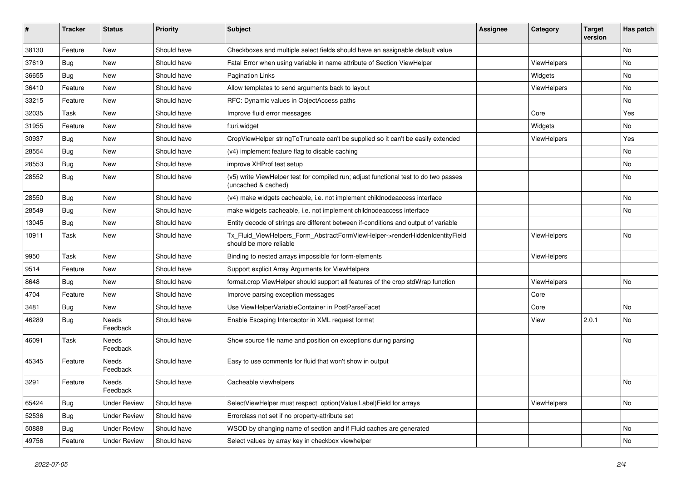| ∦     | <b>Tracker</b> | <b>Status</b>            | <b>Priority</b> | <b>Subject</b>                                                                                              | <b>Assignee</b> | Category           | <b>Target</b><br>version | Has patch |
|-------|----------------|--------------------------|-----------------|-------------------------------------------------------------------------------------------------------------|-----------------|--------------------|--------------------------|-----------|
| 38130 | Feature        | New                      | Should have     | Checkboxes and multiple select fields should have an assignable default value                               |                 |                    |                          | No        |
| 37619 | <b>Bug</b>     | New                      | Should have     | Fatal Error when using variable in name attribute of Section ViewHelper                                     |                 | ViewHelpers        |                          | No        |
| 36655 | <b>Bug</b>     | New                      | Should have     | <b>Pagination Links</b>                                                                                     |                 | Widgets            |                          | No        |
| 36410 | Feature        | New                      | Should have     | Allow templates to send arguments back to layout                                                            |                 | ViewHelpers        |                          | No        |
| 33215 | Feature        | New                      | Should have     | RFC: Dynamic values in ObjectAccess paths                                                                   |                 |                    |                          | No        |
| 32035 | Task           | New                      | Should have     | Improve fluid error messages                                                                                |                 | Core               |                          | Yes       |
| 31955 | Feature        | New                      | Should have     | f:uri.widget                                                                                                |                 | Widgets            |                          | No        |
| 30937 | <b>Bug</b>     | New                      | Should have     | CropViewHelper stringToTruncate can't be supplied so it can't be easily extended                            |                 | <b>ViewHelpers</b> |                          | Yes       |
| 28554 | Bug            | New                      | Should have     | (v4) implement feature flag to disable caching                                                              |                 |                    |                          | No        |
| 28553 | Bug            | New                      | Should have     | improve XHProf test setup                                                                                   |                 |                    |                          | No        |
| 28552 | <b>Bug</b>     | New                      | Should have     | (v5) write ViewHelper test for compiled run; adjust functional test to do two passes<br>(uncached & cached) |                 |                    |                          | No        |
| 28550 | Bug            | New                      | Should have     | (v4) make widgets cacheable, i.e. not implement childnodeaccess interface                                   |                 |                    |                          | No        |
| 28549 | Bug            | New                      | Should have     | make widgets cacheable, i.e. not implement childnodeaccess interface                                        |                 |                    |                          | No        |
| 13045 | Bug            | New                      | Should have     | Entity decode of strings are different between if-conditions and output of variable                         |                 |                    |                          |           |
| 10911 | Task           | New                      | Should have     | Tx_Fluid_ViewHelpers_Form_AbstractFormViewHelper->renderHiddenIdentityField<br>should be more reliable      |                 | ViewHelpers        |                          | No        |
| 9950  | Task           | New                      | Should have     | Binding to nested arrays impossible for form-elements                                                       |                 | <b>ViewHelpers</b> |                          |           |
| 9514  | Feature        | New                      | Should have     | Support explicit Array Arguments for ViewHelpers                                                            |                 |                    |                          |           |
| 8648  | Bug            | New                      | Should have     | format.crop ViewHelper should support all features of the crop stdWrap function                             |                 | ViewHelpers        |                          | No        |
| 4704  | Feature        | New                      | Should have     | Improve parsing exception messages                                                                          |                 | Core               |                          |           |
| 3481  | Bug            | New                      | Should have     | Use ViewHelperVariableContainer in PostParseFacet                                                           |                 | Core               |                          | No        |
| 46289 | <b>Bug</b>     | <b>Needs</b><br>Feedback | Should have     | Enable Escaping Interceptor in XML request format                                                           |                 | View               | 2.0.1                    | No.       |
| 46091 | Task           | <b>Needs</b><br>Feedback | Should have     | Show source file name and position on exceptions during parsing                                             |                 |                    |                          | No        |
| 45345 | Feature        | Needs<br>Feedback        | Should have     | Easy to use comments for fluid that won't show in output                                                    |                 |                    |                          |           |
| 3291  | Feature        | Needs<br>Feedback        | Should have     | Cacheable viewhelpers                                                                                       |                 |                    |                          | No        |
| 65424 | <b>Bug</b>     | <b>Under Review</b>      | Should have     | SelectViewHelper must respect option(Value Label)Field for arrays                                           |                 | ViewHelpers        |                          | No        |
| 52536 | Bug            | <b>Under Review</b>      | Should have     | Errorclass not set if no property-attribute set                                                             |                 |                    |                          |           |
| 50888 | Bug            | <b>Under Review</b>      | Should have     | WSOD by changing name of section and if Fluid caches are generated                                          |                 |                    |                          | No        |
| 49756 | Feature        | <b>Under Review</b>      | Should have     | Select values by array key in checkbox viewhelper                                                           |                 |                    |                          | No        |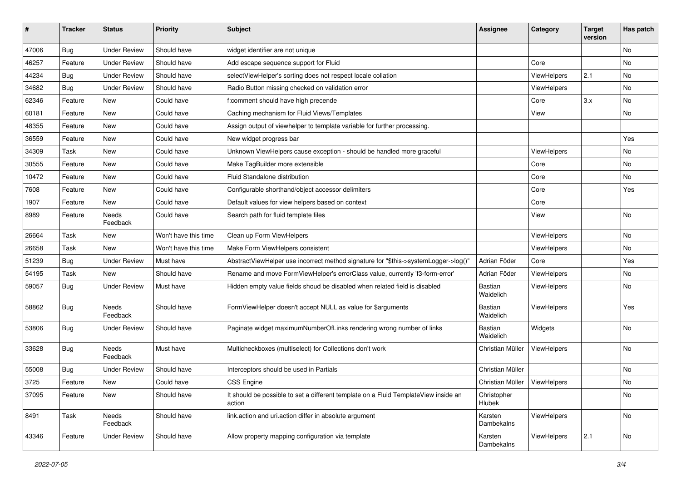| $\pmb{\#}$ | <b>Tracker</b> | <b>Status</b>       | <b>Priority</b>      | Subject                                                                                       | Assignee                    | Category    | <b>Target</b><br>version | Has patch |
|------------|----------------|---------------------|----------------------|-----------------------------------------------------------------------------------------------|-----------------------------|-------------|--------------------------|-----------|
| 47006      | Bug            | <b>Under Review</b> | Should have          | widget identifier are not unique                                                              |                             |             |                          | <b>No</b> |
| 46257      | Feature        | <b>Under Review</b> | Should have          | Add escape sequence support for Fluid                                                         |                             | Core        |                          | No        |
| 44234      | Bug            | <b>Under Review</b> | Should have          | selectViewHelper's sorting does not respect locale collation                                  |                             | ViewHelpers | 2.1                      | No        |
| 34682      | Bug            | <b>Under Review</b> | Should have          | Radio Button missing checked on validation error                                              |                             | ViewHelpers |                          | No        |
| 62346      | Feature        | New                 | Could have           | f:comment should have high precende                                                           |                             | Core        | 3.x                      | No        |
| 60181      | Feature        | <b>New</b>          | Could have           | Caching mechanism for Fluid Views/Templates                                                   |                             | View        |                          | No        |
| 48355      | Feature        | New                 | Could have           | Assign output of viewhelper to template variable for further processing.                      |                             |             |                          |           |
| 36559      | Feature        | New                 | Could have           | New widget progress bar                                                                       |                             |             |                          | Yes       |
| 34309      | Task           | <b>New</b>          | Could have           | Unknown ViewHelpers cause exception - should be handled more graceful                         |                             | ViewHelpers |                          | No        |
| 30555      | Feature        | New                 | Could have           | Make TagBuilder more extensible                                                               |                             | Core        |                          | No        |
| 10472      | Feature        | New                 | Could have           | Fluid Standalone distribution                                                                 |                             | Core        |                          | No        |
| 7608       | Feature        | New                 | Could have           | Configurable shorthand/object accessor delimiters                                             |                             | Core        |                          | Yes       |
| 1907       | Feature        | New                 | Could have           | Default values for view helpers based on context                                              |                             | Core        |                          |           |
| 8989       | Feature        | Needs<br>Feedback   | Could have           | Search path for fluid template files                                                          |                             | View        |                          | No        |
| 26664      | Task           | New                 | Won't have this time | Clean up Form ViewHelpers                                                                     |                             | ViewHelpers |                          | No        |
| 26658      | Task           | <b>New</b>          | Won't have this time | Make Form ViewHelpers consistent                                                              |                             | ViewHelpers |                          | No        |
| 51239      | Bug            | <b>Under Review</b> | Must have            | AbstractViewHelper use incorrect method signature for "\$this->systemLogger->log()"           | Adrian Föder                | Core        |                          | Yes       |
| 54195      | Task           | <b>New</b>          | Should have          | Rename and move FormViewHelper's errorClass value, currently 'f3-form-error'                  | Adrian Föder                | ViewHelpers |                          | No        |
| 59057      | Bug            | <b>Under Review</b> | Must have            | Hidden empty value fields shoud be disabled when related field is disabled                    | <b>Bastian</b><br>Waidelich | ViewHelpers |                          | No        |
| 58862      | Bug            | Needs<br>Feedback   | Should have          | FormViewHelper doesn't accept NULL as value for \$arguments                                   | <b>Bastian</b><br>Waidelich | ViewHelpers |                          | Yes       |
| 53806      | <b>Bug</b>     | <b>Under Review</b> | Should have          | Paginate widget maximumNumberOfLinks rendering wrong number of links                          | <b>Bastian</b><br>Waidelich | Widgets     |                          | No        |
| 33628      | <b>Bug</b>     | Needs<br>Feedback   | Must have            | Multicheckboxes (multiselect) for Collections don't work                                      | Christian Müller            | ViewHelpers |                          | No        |
| 55008      | Bug            | <b>Under Review</b> | Should have          | Interceptors should be used in Partials                                                       | Christian Müller            |             |                          | No        |
| 3725       | Feature        | New                 | Could have           | <b>CSS Engine</b>                                                                             | Christian Müller            | ViewHelpers |                          | No        |
| 37095      | Feature        | New                 | Should have          | It should be possible to set a different template on a Fluid TemplateView inside an<br>action | Christopher<br>Hlubek       |             |                          | No        |
| 8491       | Task           | Needs<br>Feedback   | Should have          | link.action and uri.action differ in absolute argument                                        | Karsten<br>Dambekalns       | ViewHelpers |                          | No        |
| 43346      | Feature        | <b>Under Review</b> | Should have          | Allow property mapping configuration via template                                             | Karsten<br>Dambekalns       | ViewHelpers | 2.1                      | No        |